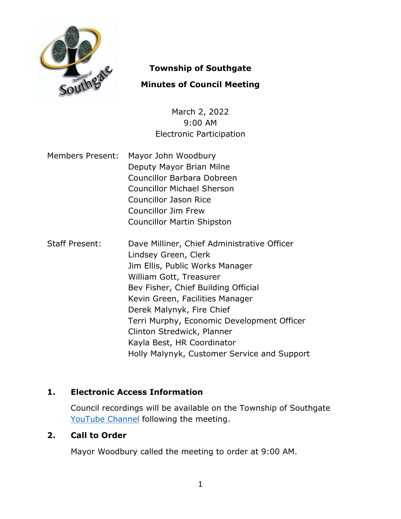

# **Township of Southgate**

# **Minutes of Council Meeting**

March 2, 2022 9:00 AM Electronic Participation

- Members Present: Mayor John Woodbury Deputy Mayor Brian Milne Councillor Barbara Dobreen Councillor Michael Sherson Councillor Jason Rice Councillor Jim Frew Councillor Martin Shipston
- Staff Present: Dave Milliner, Chief Administrative Officer Lindsey Green, Clerk Jim Ellis, Public Works Manager William Gott, Treasurer Bev Fisher, Chief Building Official Kevin Green, Facilities Manager Derek Malynyk, Fire Chief Terri Murphy, Economic Development Officer Clinton Stredwick, Planner Kayla Best, HR Coordinator Holly Malynyk, Customer Service and Support

# **1. Electronic Access Information**

Council recordings will be available on the Township of Southgate [YouTube Channel](https://www.youtube.com/user/SouthgateTownship) following the meeting.

## **2. Call to Order**

Mayor Woodbury called the meeting to order at 9:00 AM.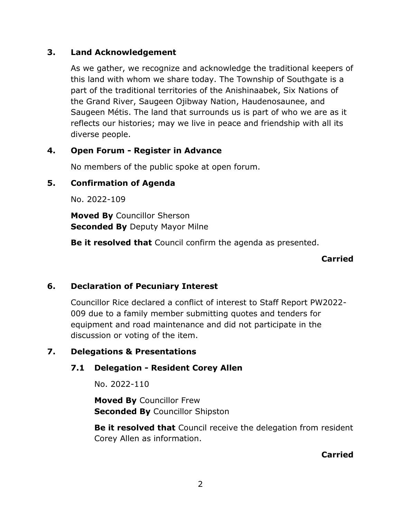## **3. Land Acknowledgement**

As we gather, we recognize and acknowledge the traditional keepers of this land with whom we share today. The Township of Southgate is a part of the traditional territories of the Anishinaabek, Six Nations of the Grand River, Saugeen Ojibway Nation, Haudenosaunee, and Saugeen Métis. The land that surrounds us is part of who we are as it reflects our histories; may we live in peace and friendship with all its diverse people.

## **4. Open Forum - Register in Advance**

No members of the public spoke at open forum.

# **5. Confirmation of Agenda**

No. 2022-109

**Moved By** Councillor Sherson **Seconded By** Deputy Mayor Milne

**Be it resolved that** Council confirm the agenda as presented.

## **Carried**

## **6. Declaration of Pecuniary Interest**

Councillor Rice declared a conflict of interest to Staff Report PW2022- 009 due to a family member submitting quotes and tenders for equipment and road maintenance and did not participate in the discussion or voting of the item.

## **7. Delegations & Presentations**

## **7.1 Delegation - Resident Corey Allen**

No. 2022-110

**Moved By** Councillor Frew **Seconded By** Councillor Shipston

**Be it resolved that** Council receive the delegation from resident Corey Allen as information.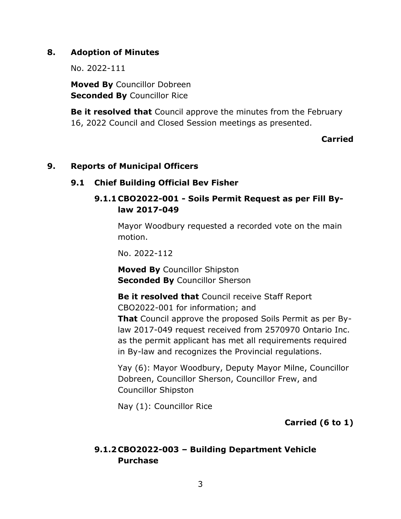## **8. Adoption of Minutes**

No. 2022-111

**Moved By** Councillor Dobreen **Seconded By** Councillor Rice

**Be it resolved that** Council approve the minutes from the February 16, 2022 Council and Closed Session meetings as presented.

### **Carried**

### **9. Reports of Municipal Officers**

## **9.1 Chief Building Official Bev Fisher**

# **9.1.1 CBO2022-001 - Soils Permit Request as per Fill Bylaw 2017-049**

Mayor Woodbury requested a recorded vote on the main motion.

No. 2022-112

**Moved By** Councillor Shipston **Seconded By** Councillor Sherson

**Be it resolved that** Council receive Staff Report CBO2022-001 for information; and **That** Council approve the proposed Soils Permit as per Bylaw 2017-049 request received from 2570970 Ontario Inc. as the permit applicant has met all requirements required in By-law and recognizes the Provincial regulations.

Yay (6): Mayor Woodbury, Deputy Mayor Milne, Councillor Dobreen, Councillor Sherson, Councillor Frew, and Councillor Shipston

Nay (1): Councillor Rice

## **Carried (6 to 1)**

# **9.1.2 CBO2022-003 – Building Department Vehicle Purchase**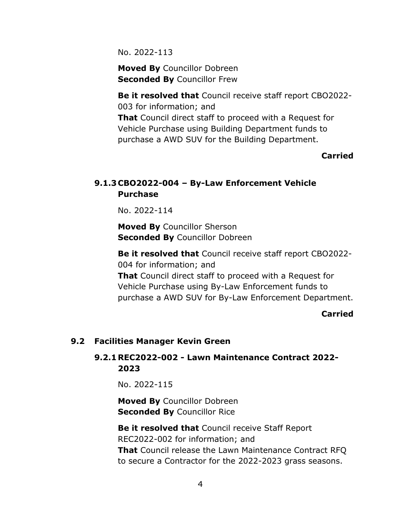No. 2022-113

**Moved By** Councillor Dobreen **Seconded By** Councillor Frew

**Be it resolved that** Council receive staff report CBO2022- 003 for information; and

**That** Council direct staff to proceed with a Request for Vehicle Purchase using Building Department funds to purchase a AWD SUV for the Building Department.

#### **Carried**

# **9.1.3 CBO2022-004 – By-Law Enforcement Vehicle Purchase**

No. 2022-114

**Moved By** Councillor Sherson **Seconded By** Councillor Dobreen

**Be it resolved that** Council receive staff report CBO2022- 004 for information; and **That** Council direct staff to proceed with a Request for Vehicle Purchase using By-Law Enforcement funds to purchase a AWD SUV for By-Law Enforcement Department.

#### **Carried**

#### **9.2 Facilities Manager Kevin Green**

## **9.2.1REC2022-002 - Lawn Maintenance Contract 2022- 2023**

No. 2022-115

**Moved By** Councillor Dobreen **Seconded By** Councillor Rice

**Be it resolved that** Council receive Staff Report REC2022-002 for information; and **That** Council release the Lawn Maintenance Contract RFQ to secure a Contractor for the 2022-2023 grass seasons.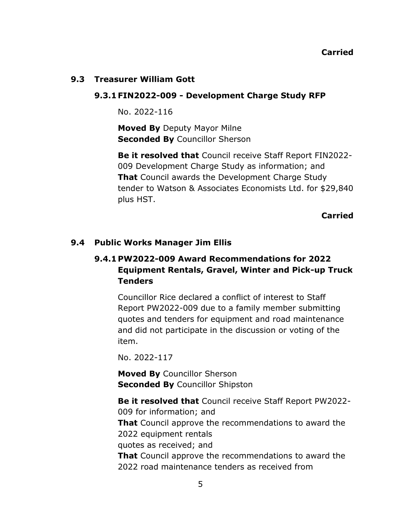#### **9.3 Treasurer William Gott**

#### **9.3.1 FIN2022-009 - Development Charge Study RFP**

No. 2022-116

**Moved By** Deputy Mayor Milne **Seconded By** Councillor Sherson

**Be it resolved that** Council receive Staff Report FIN2022- 009 Development Charge Study as information; and **That** Council awards the Development Charge Study tender to Watson & Associates Economists Ltd. for \$29,840 plus HST.

**Carried**

## **9.4 Public Works Manager Jim Ellis**

# **9.4.1 PW2022-009 Award Recommendations for 2022 Equipment Rentals, Gravel, Winter and Pick-up Truck Tenders**

Councillor Rice declared a conflict of interest to Staff Report PW2022-009 due to a family member submitting quotes and tenders for equipment and road maintenance and did not participate in the discussion or voting of the item.

No. 2022-117

**Moved By** Councillor Sherson **Seconded By** Councillor Shipston

**Be it resolved that** Council receive Staff Report PW2022- 009 for information; and **That** Council approve the recommendations to award the 2022 equipment rentals quotes as received; and **That** Council approve the recommendations to award the 2022 road maintenance tenders as received from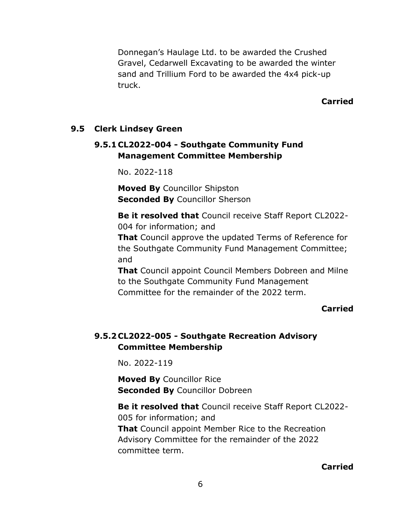Donnegan's Haulage Ltd. to be awarded the Crushed Gravel, Cedarwell Excavating to be awarded the winter sand and Trillium Ford to be awarded the 4x4 pick-up truck.

#### **Carried**

#### **9.5 Clerk Lindsey Green**

## **9.5.1 CL2022-004 - Southgate Community Fund Management Committee Membership**

No. 2022-118

**Moved By** Councillor Shipston **Seconded By** Councillor Sherson

**Be it resolved that** Council receive Staff Report CL2022- 004 for information; and

**That** Council approve the updated Terms of Reference for the Southgate Community Fund Management Committee; and

**That** Council appoint Council Members Dobreen and Milne to the Southgate Community Fund Management Committee for the remainder of the 2022 term.

#### **Carried**

## **9.5.2 CL2022-005 - Southgate Recreation Advisory Committee Membership**

No. 2022-119

**Moved By** Councillor Rice **Seconded By** Councillor Dobreen

**Be it resolved that** Council receive Staff Report CL2022- 005 for information; and **That** Council appoint Member Rice to the Recreation Advisory Committee for the remainder of the 2022 committee term.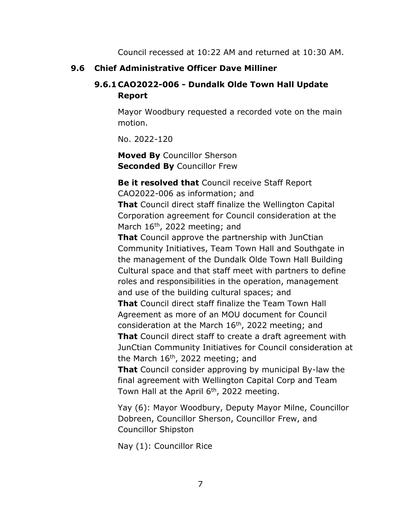Council recessed at 10:22 AM and returned at 10:30 AM.

## **9.6 Chief Administrative Officer Dave Milliner**

# **9.6.1 CAO2022-006 - Dundalk Olde Town Hall Update Report**

Mayor Woodbury requested a recorded vote on the main motion.

No. 2022-120

**Moved By** Councillor Sherson **Seconded By** Councillor Frew

**Be it resolved that** Council receive Staff Report CAO2022-006 as information; and **That** Council direct staff finalize the Wellington Capital Corporation agreement for Council consideration at the March  $16<sup>th</sup>$ , 2022 meeting; and

**That** Council approve the partnership with JunCtian Community Initiatives, Team Town Hall and Southgate in the management of the Dundalk Olde Town Hall Building Cultural space and that staff meet with partners to define roles and responsibilities in the operation, management and use of the building cultural spaces; and

**That** Council direct staff finalize the Team Town Hall Agreement as more of an MOU document for Council consideration at the March  $16<sup>th</sup>$ , 2022 meeting; and

**That** Council direct staff to create a draft agreement with JunCtian Community Initiatives for Council consideration at the March  $16<sup>th</sup>$ , 2022 meeting; and

**That** Council consider approving by municipal By-law the final agreement with Wellington Capital Corp and Team Town Hall at the April  $6<sup>th</sup>$ , 2022 meeting.

Yay (6): Mayor Woodbury, Deputy Mayor Milne, Councillor Dobreen, Councillor Sherson, Councillor Frew, and Councillor Shipston

Nay (1): Councillor Rice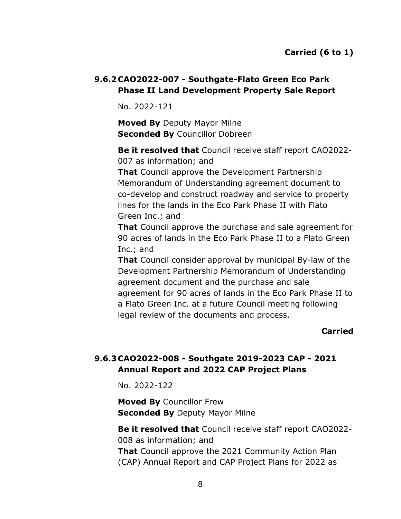# **9.6.2 CAO2022-007 - Southgate-Flato Green Eco Park Phase II Land Development Property Sale Report**

No. 2022-121

**Moved By** Deputy Mayor Milne **Seconded By** Councillor Dobreen

**Be it resolved that** Council receive staff report CAO2022- 007 as information; and

**That** Council approve the Development Partnership Memorandum of Understanding agreement document to co-develop and construct roadway and service to property lines for the lands in the Eco Park Phase II with Flato Green Inc.; and

**That** Council approve the purchase and sale agreement for 90 acres of lands in the Eco Park Phase II to a Flato Green Inc.; and

**That** Council consider approval by municipal By-law of the Development Partnership Memorandum of Understanding agreement document and the purchase and sale agreement for 90 acres of lands in the Eco Park Phase II to a Flato Green Inc. at a future Council meeting following legal review of the documents and process.

## **Carried**

# **9.6.3 CAO2022-008 - Southgate 2019-2023 CAP - 2021 Annual Report and 2022 CAP Project Plans**

No. 2022-122

**Moved By** Councillor Frew **Seconded By** Deputy Mayor Milne

**Be it resolved that** Council receive staff report CAO2022- 008 as information; and **That** Council approve the 2021 Community Action Plan (CAP) Annual Report and CAP Project Plans for 2022 as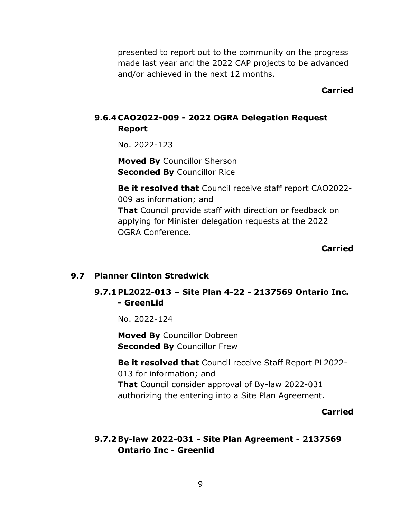presented to report out to the community on the progress made last year and the 2022 CAP projects to be advanced and/or achieved in the next 12 months.

#### **Carried**

# **9.6.4 CAO2022-009 - 2022 OGRA Delegation Request Report**

No. 2022-123

**Moved By** Councillor Sherson **Seconded By** Councillor Rice

**Be it resolved that** Council receive staff report CAO2022- 009 as information; and **That** Council provide staff with direction or feedback on applying for Minister delegation requests at the 2022 OGRA Conference.

#### **Carried**

#### **9.7 Planner Clinton Stredwick**

**9.7.1 PL2022-013 – Site Plan 4-22 - 2137569 Ontario Inc. - GreenLid**

No. 2022-124

**Moved By** Councillor Dobreen **Seconded By** Councillor Frew

**Be it resolved that** Council receive Staff Report PL2022- 013 for information; and **That** Council consider approval of By-law 2022-031 authorizing the entering into a Site Plan Agreement.

#### **Carried**

# **9.7.2By-law 2022-031 - Site Plan Agreement - 2137569 Ontario Inc - Greenlid**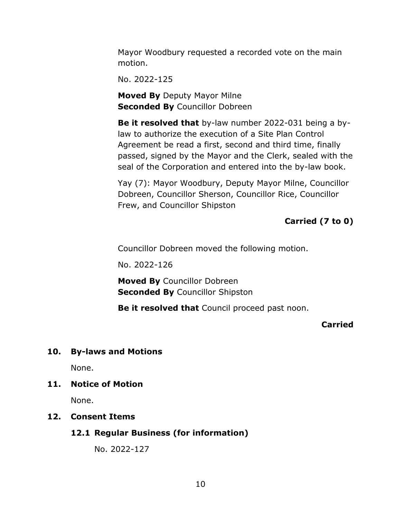Mayor Woodbury requested a recorded vote on the main motion.

No. 2022-125

**Moved By** Deputy Mayor Milne **Seconded By Councillor Dobreen** 

**Be it resolved that** by-law number 2022-031 being a bylaw to authorize the execution of a Site Plan Control Agreement be read a first, second and third time, finally passed, signed by the Mayor and the Clerk, sealed with the seal of the Corporation and entered into the by-law book.

Yay (7): Mayor Woodbury, Deputy Mayor Milne, Councillor Dobreen, Councillor Sherson, Councillor Rice, Councillor Frew, and Councillor Shipston

# **Carried (7 to 0)**

Councillor Dobreen moved the following motion.

No. 2022-126

**Moved By** Councillor Dobreen **Seconded By** Councillor Shipston

**Be it resolved that** Council proceed past noon.

### **Carried**

### **10. By-laws and Motions**

None.

### **11. Notice of Motion**

None.

### **12. Consent Items**

### **12.1 Regular Business (for information)**

No. 2022-127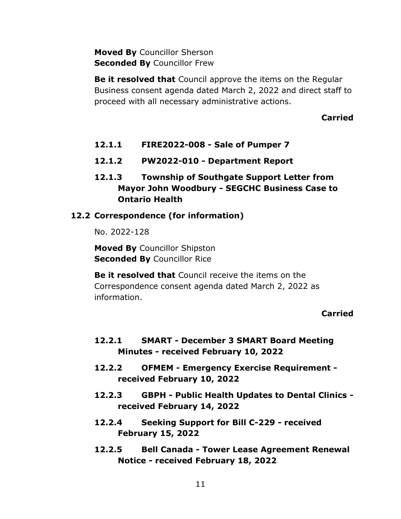**Moved By** Councillor Sherson **Seconded By** Councillor Frew

**Be it resolved that** Council approve the items on the Regular Business consent agenda dated March 2, 2022 and direct staff to proceed with all necessary administrative actions.

### **Carried**

- **12.1.1 FIRE2022-008 - Sale of Pumper 7**
- **12.1.2 PW2022-010 - Department Report**
- **12.1.3 Township of Southgate Support Letter from Mayor John Woodbury - SEGCHC Business Case to Ontario Health**

#### **12.2 Correspondence (for information)**

No. 2022-128

**Moved By** Councillor Shipston **Seconded By** Councillor Rice

**Be it resolved that** Council receive the items on the Correspondence consent agenda dated March 2, 2022 as information.

- **12.2.1 SMART - December 3 SMART Board Meeting Minutes - received February 10, 2022**
- **12.2.2 OFMEM - Emergency Exercise Requirement received February 10, 2022**
- **12.2.3 GBPH - Public Health Updates to Dental Clinics received February 14, 2022**
- **12.2.4 Seeking Support for Bill C-229 - received February 15, 2022**
- **12.2.5 Bell Canada - Tower Lease Agreement Renewal Notice - received February 18, 2022**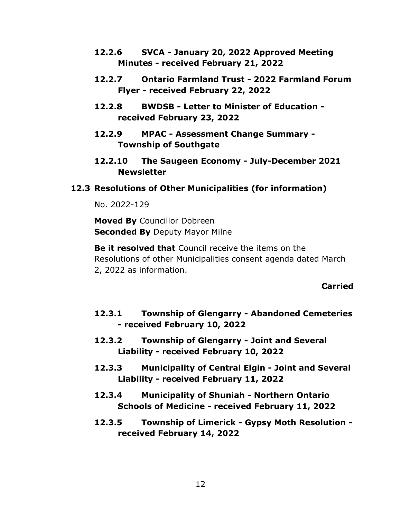- **12.2.6 SVCA - January 20, 2022 Approved Meeting Minutes - received February 21, 2022**
- **12.2.7 Ontario Farmland Trust - 2022 Farmland Forum Flyer - received February 22, 2022**
- **12.2.8 BWDSB - Letter to Minister of Education received February 23, 2022**
- **12.2.9 MPAC - Assessment Change Summary - Township of Southgate**
- **12.2.10 The Saugeen Economy - July-December 2021 Newsletter**

### **12.3 Resolutions of Other Municipalities (for information)**

No. 2022-129

**Moved By** Councillor Dobreen **Seconded By** Deputy Mayor Milne

**Be it resolved that** Council receive the items on the Resolutions of other Municipalities consent agenda dated March 2, 2022 as information.

- **12.3.1 Township of Glengarry - Abandoned Cemeteries - received February 10, 2022**
- **12.3.2 Township of Glengarry - Joint and Several Liability - received February 10, 2022**
- **12.3.3 Municipality of Central Elgin - Joint and Several Liability - received February 11, 2022**
- **12.3.4 Municipality of Shuniah - Northern Ontario Schools of Medicine - received February 11, 2022**
- **12.3.5 Township of Limerick - Gypsy Moth Resolution received February 14, 2022**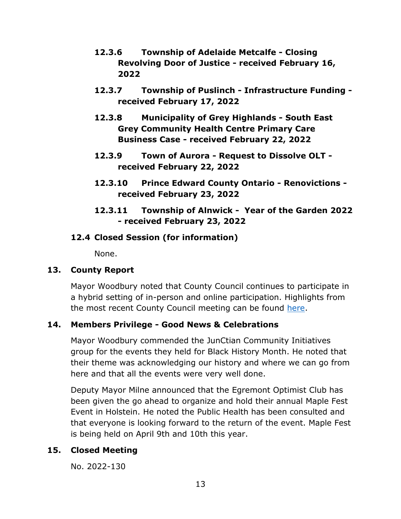- **12.3.6 Township of Adelaide Metcalfe - Closing Revolving Door of Justice - received February 16, 2022**
- **12.3.7 Township of Puslinch - Infrastructure Funding received February 17, 2022**
- **12.3.8 Municipality of Grey Highlands - South East Grey Community Health Centre Primary Care Business Case - received February 22, 2022**
- **12.3.9 Town of Aurora - Request to Dissolve OLT received February 22, 2022**
- **12.3.10 Prince Edward County Ontario - Renovictions received February 23, 2022**
- **12.3.11 Township of Alnwick Year of the Garden 2022 - received February 23, 2022**

# **12.4 Closed Session (for information)**

None.

## **13. County Report**

Mayor Woodbury noted that County Council continues to participate in a hybrid setting of in-person and online participation. Highlights from the most recent County Council meeting can be found [here.](https://www.grey.ca/council)

# **14. Members Privilege - Good News & Celebrations**

Mayor Woodbury commended the JunCtian Community Initiatives group for the events they held for Black History Month. He noted that their theme was acknowledging our history and where we can go from here and that all the events were very well done.

Deputy Mayor Milne announced that the Egremont Optimist Club has been given the go ahead to organize and hold their annual Maple Fest Event in Holstein. He noted the Public Health has been consulted and that everyone is looking forward to the return of the event. Maple Fest is being held on April 9th and 10th this year.

# **15. Closed Meeting**

No. 2022-130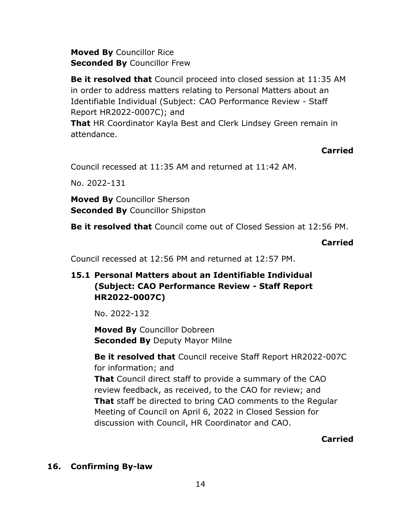**Moved By** Councillor Rice **Seconded By** Councillor Frew

**Be it resolved that** Council proceed into closed session at 11:35 AM in order to address matters relating to Personal Matters about an Identifiable Individual (Subject: CAO Performance Review - Staff Report HR2022-0007C); and

**That** HR Coordinator Kayla Best and Clerk Lindsey Green remain in attendance.

# **Carried**

Council recessed at 11:35 AM and returned at 11:42 AM.

No. 2022-131

**Moved By** Councillor Sherson **Seconded By** Councillor Shipston

**Be it resolved that** Council come out of Closed Session at 12:56 PM.

### **Carried**

Council recessed at 12:56 PM and returned at 12:57 PM.

# **15.1 Personal Matters about an Identifiable Individual (Subject: CAO Performance Review - Staff Report HR2022-0007C)**

No. 2022-132

**Moved By** Councillor Dobreen **Seconded By** Deputy Mayor Milne

**Be it resolved that** Council receive Staff Report HR2022-007C for information; and **That** Council direct staff to provide a summary of the CAO review feedback, as received, to the CAO for review; and **That** staff be directed to bring CAO comments to the Regular Meeting of Council on April 6, 2022 in Closed Session for discussion with Council, HR Coordinator and CAO.

## **Carried**

## **16. Confirming By-law**